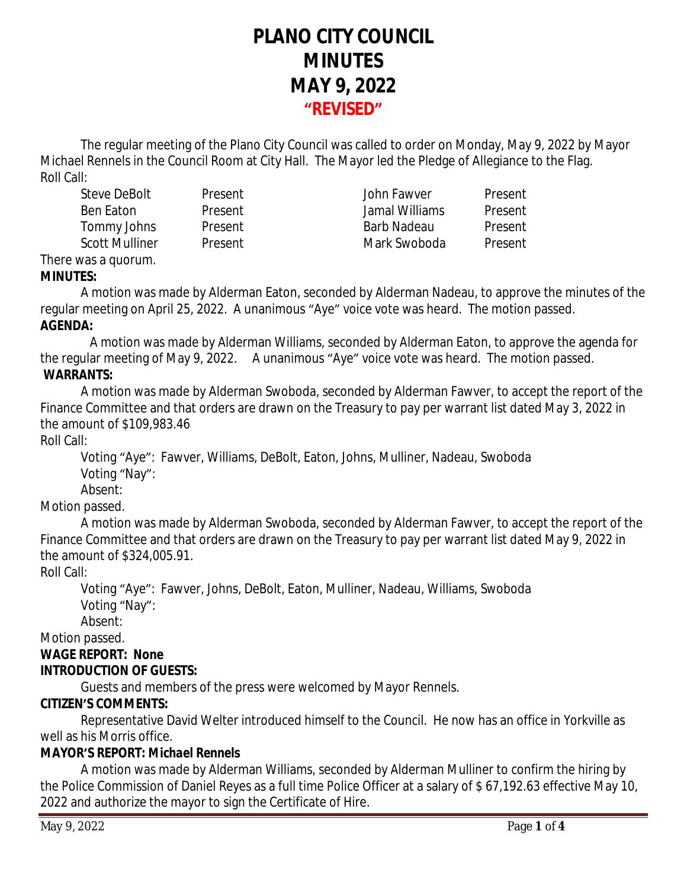# **PLANO CITY COUNCIL MINUTES MAY 9, 2022 "REVISED"**

The regular meeting of the Plano City Council was called to order on Monday, May 9, 2022 by Mayor Michael Rennels in the Council Room at City Hall. The Mayor led the Pledge of Allegiance to the Flag. Roll Call:

Steve DeBolt Present John Fawver Present Ben Eaton Present Jamal Williams Present Tommy Johns Present Barb Nadeau Present Scott Mulliner Present **Mark Swoboda** Present

There was a quorum.

#### **MINUTES:**

A motion was made by Alderman Eaton, seconded by Alderman Nadeau, to approve the minutes of the regular meeting on April 25, 2022. A unanimous "Aye" voice vote was heard. The motion passed. **AGENDA:**

 A motion was made by Alderman Williams, seconded by Alderman Eaton, to approve the agenda for the regular meeting of May 9, 2022. A unanimous "Aye" voice vote was heard. The motion passed. **WARRANTS:**

A motion was made by Alderman Swoboda, seconded by Alderman Fawver, to accept the report of the Finance Committee and that orders are drawn on the Treasury to pay per warrant list dated May 3, 2022 in the amount of \$109,983.46

Roll Call:

Voting "Aye": Fawver, Williams, DeBolt, Eaton, Johns, Mulliner, Nadeau, Swoboda Voting "Nay":

Absent:

Motion passed.

A motion was made by Alderman Swoboda, seconded by Alderman Fawver, to accept the report of the Finance Committee and that orders are drawn on the Treasury to pay per warrant list dated May 9, 2022 in the amount of \$324,005.91.

Roll Call:

Voting "Aye": Fawver, Johns, DeBolt, Eaton, Mulliner, Nadeau, Williams, Swoboda Voting "Nay":

Absent:

Motion passed.

# **WAGE REPORT: None**

# **INTRODUCTION OF GUESTS:**

Guests and members of the press were welcomed by Mayor Rennels.

# **CITIZEN'S COMMENTS:**

Representative David Welter introduced himself to the Council. He now has an office in Yorkville as well as his Morris office.

# **MAYOR'S REPORT:** *Michael Rennels*

A motion was made by Alderman Williams, seconded by Alderman Mulliner to confirm the hiring by the Police Commission of Daniel Reyes as a full time Police Officer at a salary of \$ 67,192.63 effective May 10, 2022 and authorize the mayor to sign the Certificate of Hire.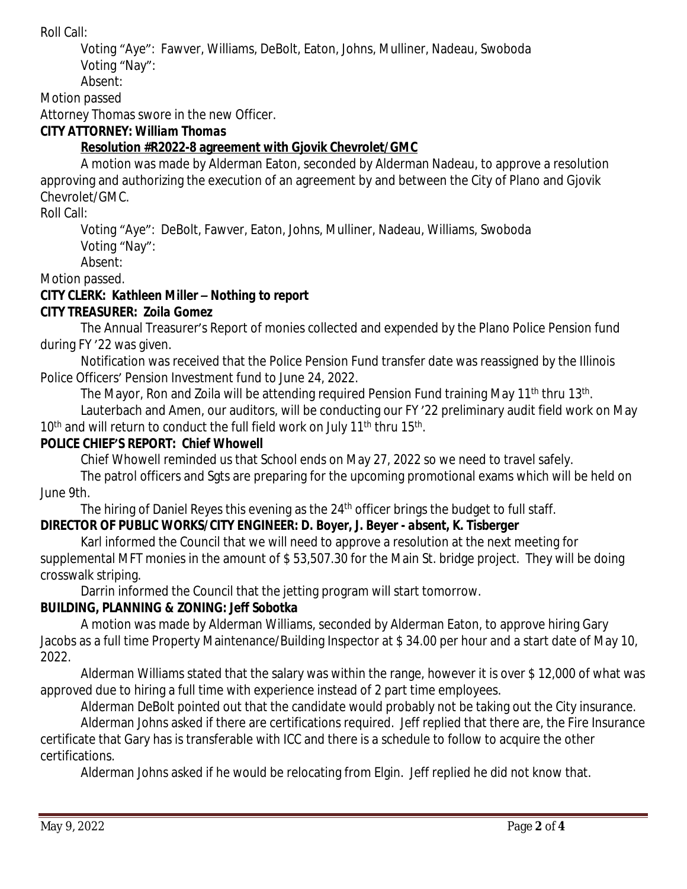Roll Call:

Voting "Aye": Fawver, Williams, DeBolt, Eaton, Johns, Mulliner, Nadeau, Swoboda Voting "Nay":

Absent:

Motion passed

Attorney Thomas swore in the new Officer.

#### **CITY ATTORNEY:** *William Thomas*

#### **Resolution #R2022-8 agreement with Gjovik Chevrolet/GMC**

A motion was made by Alderman Eaton, seconded by Alderman Nadeau, to approve a resolution approving and authorizing the execution of an agreement by and between the City of Plano and Gjovik Chevrolet/GMC.

Roll Call:

Voting "Aye": DeBolt, Fawver, Eaton, Johns, Mulliner, Nadeau, Williams, Swoboda Voting "Nay":

Absent:

Motion passed.

# **CITY CLERK:** *Kathleen Miller – Nothing to report*

#### **CITY TREASURER***: Zoila Gomez*

The Annual Treasurer's Report of monies collected and expended by the Plano Police Pension fund during FY '22 was given.

Notification was received that the Police Pension Fund transfer date was reassigned by the Illinois Police Officers' Pension Investment fund to June 24, 2022.

The Mayor, Ron and Zoila will be attending required Pension Fund training May 11<sup>th</sup> thru 13<sup>th</sup>.

Lauterbach and Amen, our auditors, will be conducting our FY '22 preliminary audit field work on May 10<sup>th</sup> and will return to conduct the full field work on July 11<sup>th</sup> thru 15<sup>th</sup>.

#### **POLICE CHIEF'S REPORT:** *Chief Whowell*

Chief Whowell reminded us that School ends on May 27, 2022 so we need to travel safely.

The patrol officers and Sgts are preparing for the upcoming promotional exams which will be held on June 9th.

The hiring of Daniel Reyes this evening as the 24<sup>th</sup> officer brings the budget to full staff.

# **DIRECTOR OF PUBLIC WORKS/CITY ENGINEER***: D. Boyer, J. Beyer - absent, K. Tisberger*

Karl informed the Council that we will need to approve a resolution at the next meeting for supplemental MFT monies in the amount of \$ 53,507.30 for the Main St. bridge project. They will be doing crosswalk striping.

Darrin informed the Council that the jetting program will start tomorrow.

# **BUILDING, PLANNING & ZONING:** *Jeff Sobotka*

A motion was made by Alderman Williams, seconded by Alderman Eaton, to approve hiring Gary Jacobs as a full time Property Maintenance/Building Inspector at \$ 34.00 per hour and a start date of May 10, 2022.

Alderman Williams stated that the salary was within the range, however it is over \$ 12,000 of what was approved due to hiring a full time with experience instead of 2 part time employees.

Alderman DeBolt pointed out that the candidate would probably not be taking out the City insurance.

Alderman Johns asked if there are certifications required. Jeff replied that there are, the Fire Insurance certificate that Gary has is transferable with ICC and there is a schedule to follow to acquire the other certifications.

Alderman Johns asked if he would be relocating from Elgin. Jeff replied he did not know that.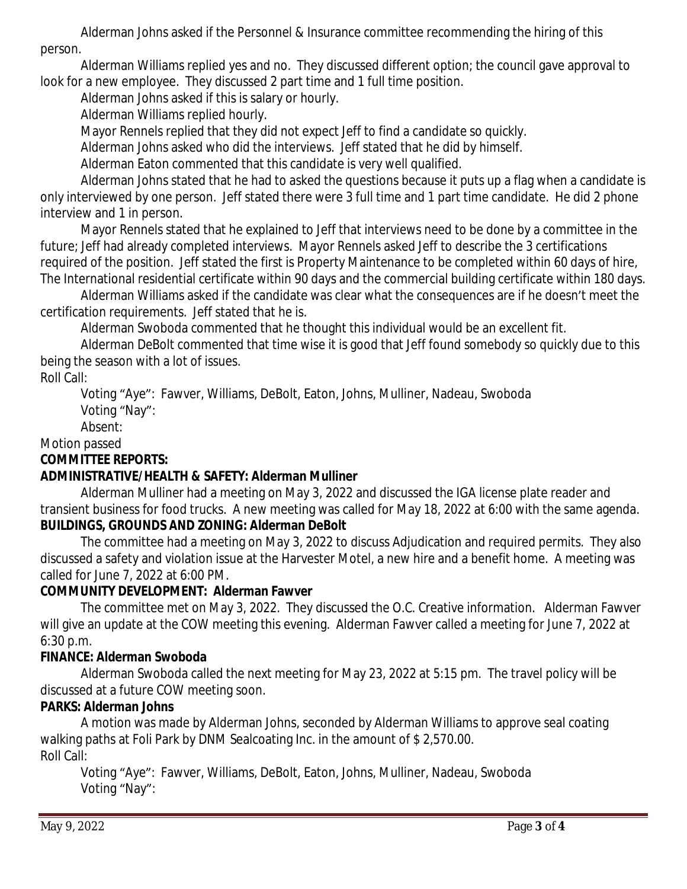Alderman Johns asked if the Personnel & Insurance committee recommending the hiring of this person.

Alderman Williams replied yes and no. They discussed different option; the council gave approval to look for a new employee. They discussed 2 part time and 1 full time position.

Alderman Johns asked if this is salary or hourly.

Alderman Williams replied hourly.

Mayor Rennels replied that they did not expect Jeff to find a candidate so quickly.

Alderman Johns asked who did the interviews. Jeff stated that he did by himself.

Alderman Eaton commented that this candidate is very well qualified.

Alderman Johns stated that he had to asked the questions because it puts up a flag when a candidate is only interviewed by one person. Jeff stated there were 3 full time and 1 part time candidate. He did 2 phone interview and 1 in person.

Mayor Rennels stated that he explained to Jeff that interviews need to be done by a committee in the future; Jeff had already completed interviews. Mayor Rennels asked Jeff to describe the 3 certifications required of the position. Jeff stated the first is Property Maintenance to be completed within 60 days of hire, The International residential certificate within 90 days and the commercial building certificate within 180 days.

Alderman Williams asked if the candidate was clear what the consequences are if he doesn't meet the certification requirements. Jeff stated that he is.

Alderman Swoboda commented that he thought this individual would be an excellent fit.

Alderman DeBolt commented that time wise it is good that Jeff found somebody so quickly due to this being the season with a lot of issues.

# Roll Call:

Voting "Aye": Fawver, Williams, DeBolt, Eaton, Johns, Mulliner, Nadeau, Swoboda Voting "Nay":

Absent:

Motion passed

# **COMMITTEE REPORTS:**

# **ADMINISTRATIVE/HEALTH & SAFETY: Alderman Mulliner**

Alderman Mulliner had a meeting on May 3, 2022 and discussed the IGA license plate reader and transient business for food trucks. A new meeting was called for May 18, 2022 at 6:00 with the same agenda. **BUILDINGS, GROUNDS AND ZONING: Alderman DeBolt**

The committee had a meeting on May 3, 2022 to discuss Adjudication and required permits. They also discussed a safety and violation issue at the Harvester Motel, a new hire and a benefit home. A meeting was called for June 7, 2022 at 6:00 PM.

# **COMMUNITY DEVELOPMENT: Alderman Fawver**

The committee met on May 3, 2022. They discussed the O.C. Creative information. Alderman Fawver will give an update at the COW meeting this evening. Alderman Fawver called a meeting for June 7, 2022 at 6:30 p.m.

# **FINANCE: Alderman Swoboda**

Alderman Swoboda called the next meeting for May 23, 2022 at 5:15 pm. The travel policy will be discussed at a future COW meeting soon.

# **PARKS: Alderman Johns**

A motion was made by Alderman Johns, seconded by Alderman Williams to approve seal coating walking paths at Foli Park by DNM Sealcoating Inc. in the amount of \$ 2,570.00. Roll Call:

Voting "Aye": Fawver, Williams, DeBolt, Eaton, Johns, Mulliner, Nadeau, Swoboda Voting "Nay":